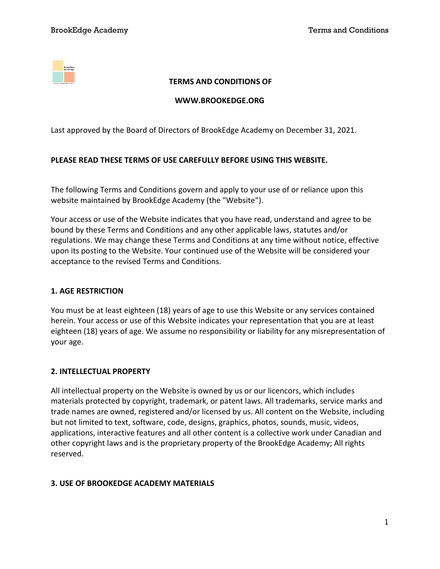

### TERMS AND CONDITIONS OF

#### WWW.BROOKEDGE.ORG

Last approved by the Board of Directors of BrookEdge Academy on December 31, 2021.

### PLEASE READ THESE TERMS OF USE CAREFULLY BEFORE USING THIS WEBSITE.

The following Terms and Conditions govern and apply to your use of or reliance upon this website maintained by BrookEdge Academy (the "Website").

Your access or use of the Website indicates that you have read, understand and agree to be bound by these Terms and Conditions and any other applicable laws, statutes and/or regulations. We may change these Terms and Conditions at any time without notice, effective upon its posting to the Website. Your continued use of the Website will be considered your acceptance to the revised Terms and Conditions.

#### 1. AGE RESTRICTION

You must be at least eighteen (18) years of age to use this Website or any services contained herein. Your access or use of this Website indicates your representation that you are at least eighteen (18) years of age. We assume no responsibility or liability for any misrepresentation of your age.

#### 2. INTELLECTUAL PROPERTY

All intellectual property on the Website is owned by us or our licencors, which includes materials protected by copyright, trademark, or patent laws. All trademarks, service marks and trade names are owned, registered and/or licensed by us. All content on the Website, including but not limited to text, software, code, designs, graphics, photos, sounds, music, videos, applications, interactive features and all other content is a collective work under Canadian and other copyright laws and is the proprietary property of the BrookEdge Academy; All rights reserved.

### 3. USE OF BROOKEDGE ACADEMY MATERIALS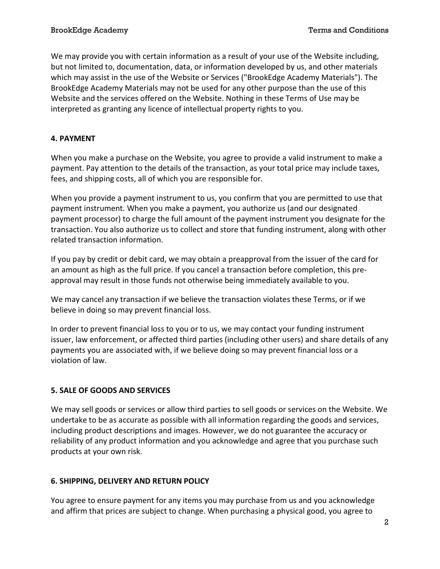We may provide you with certain information as a result of your use of the Website including, but not limited to, documentation, data, or information developed by us, and other materials which may assist in the use of the Website or Services ("BrookEdge Academy Materials"). The BrookEdge Academy Materials may not be used for any other purpose than the use of this Website and the services offered on the Website. Nothing in these Terms of Use may be interpreted as granting any licence of intellectual property rights to you.

# 4. PAYMENT

When you make a purchase on the Website, you agree to provide a valid instrument to make a payment. Pay attention to the details of the transaction, as your total price may include taxes, fees, and shipping costs, all of which you are responsible for.

When you provide a payment instrument to us, you confirm that you are permitted to use that payment instrument. When you make a payment, you authorize us (and our designated payment processor) to charge the full amount of the payment instrument you designate for the transaction. You also authorize us to collect and store that funding instrument, along with other related transaction information.

If you pay by credit or debit card, we may obtain a preapproval from the issuer of the card for an amount as high as the full price. If you cancel a transaction before completion, this preapproval may result in those funds not otherwise being immediately available to you.

We may cancel any transaction if we believe the transaction violates these Terms, or if we believe in doing so may prevent financial loss.

In order to prevent financial loss to you or to us, we may contact your funding instrument issuer, law enforcement, or affected third parties (including other users) and share details of any payments you are associated with, if we believe doing so may prevent financial loss or a violation of law.

### 5. SALE OF GOODS AND SERVICES

We may sell goods or services or allow third parties to sell goods or services on the Website. We undertake to be as accurate as possible with all information regarding the goods and services, including product descriptions and images. However, we do not guarantee the accuracy or reliability of any product information and you acknowledge and agree that you purchase such products at your own risk.

### 6. SHIPPING, DELIVERY AND RETURN POLICY

You agree to ensure payment for any items you may purchase from us and you acknowledge and affirm that prices are subject to change. When purchasing a physical good, you agree to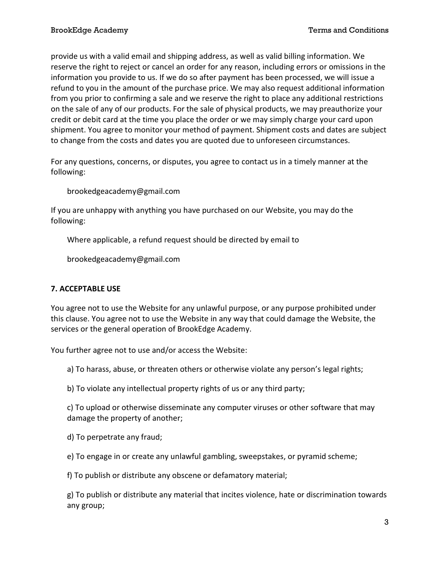provide us with a valid email and shipping address, as well as valid billing information. We reserve the right to reject or cancel an order for any reason, including errors or omissions in the information you provide to us. If we do so after payment has been processed, we will issue a refund to you in the amount of the purchase price. We may also request additional information from you prior to confirming a sale and we reserve the right to place any additional restrictions on the sale of any of our products. For the sale of physical products, we may preauthorize your credit or debit card at the time you place the order or we may simply charge your card upon shipment. You agree to monitor your method of payment. Shipment costs and dates are subject to change from the costs and dates you are quoted due to unforeseen circumstances.

For any questions, concerns, or disputes, you agree to contact us in a timely manner at the following:

brookedgeacademy@gmail.com

If you are unhappy with anything you have purchased on our Website, you may do the following:

Where applicable, a refund request should be directed by email to

brookedgeacademy@gmail.com

### 7. ACCEPTABLE USE

You agree not to use the Website for any unlawful purpose, or any purpose prohibited under this clause. You agree not to use the Website in any way that could damage the Website, the services or the general operation of BrookEdge Academy.

You further agree not to use and/or access the Website:

a) To harass, abuse, or threaten others or otherwise violate any person's legal rights;

b) To violate any intellectual property rights of us or any third party;

c) To upload or otherwise disseminate any computer viruses or other software that may damage the property of another;

d) To perpetrate any fraud;

e) To engage in or create any unlawful gambling, sweepstakes, or pyramid scheme;

f) To publish or distribute any obscene or defamatory material;

g) To publish or distribute any material that incites violence, hate or discrimination towards any group;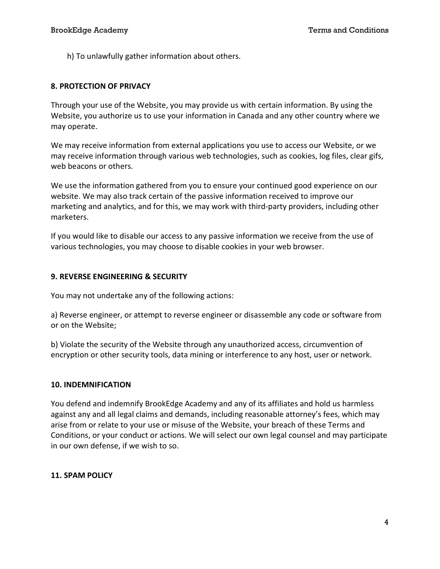h) To unlawfully gather information about others.

### 8. PROTECTION OF PRIVACY

Through your use of the Website, you may provide us with certain information. By using the Website, you authorize us to use your information in Canada and any other country where we may operate.

We may receive information from external applications you use to access our Website, or we may receive information through various web technologies, such as cookies, log files, clear gifs, web beacons or others.

We use the information gathered from you to ensure your continued good experience on our website. We may also track certain of the passive information received to improve our marketing and analytics, and for this, we may work with third-party providers, including other marketers.

If you would like to disable our access to any passive information we receive from the use of various technologies, you may choose to disable cookies in your web browser.

### 9. REVERSE ENGINEERING & SECURITY

You may not undertake any of the following actions:

a) Reverse engineer, or attempt to reverse engineer or disassemble any code or software from or on the Website;

b) Violate the security of the Website through any unauthorized access, circumvention of encryption or other security tools, data mining or interference to any host, user or network.

### 10. INDEMNIFICATION

You defend and indemnify BrookEdge Academy and any of its affiliates and hold us harmless against any and all legal claims and demands, including reasonable attorney's fees, which may arise from or relate to your use or misuse of the Website, your breach of these Terms and Conditions, or your conduct or actions. We will select our own legal counsel and may participate in our own defense, if we wish to so.

### 11. SPAM POLICY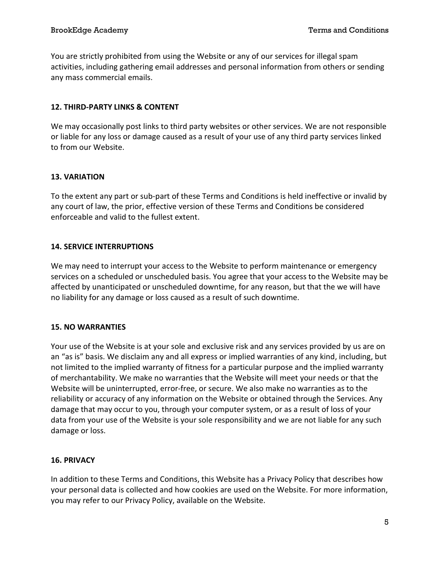You are strictly prohibited from using the Website or any of our services for illegal spam activities, including gathering email addresses and personal information from others or sending any mass commercial emails.

## 12. THIRD-PARTY LINKS & CONTENT

We may occasionally post links to third party websites or other services. We are not responsible or liable for any loss or damage caused as a result of your use of any third party services linked to from our Website.

### 13. VARIATION

To the extent any part or sub-part of these Terms and Conditions is held ineffective or invalid by any court of law, the prior, effective version of these Terms and Conditions be considered enforceable and valid to the fullest extent.

# 14. SERVICE INTERRUPTIONS

We may need to interrupt your access to the Website to perform maintenance or emergency services on a scheduled or unscheduled basis. You agree that your access to the Website may be affected by unanticipated or unscheduled downtime, for any reason, but that the we will have no liability for any damage or loss caused as a result of such downtime.

### 15. NO WARRANTIES

Your use of the Website is at your sole and exclusive risk and any services provided by us are on an "as is" basis. We disclaim any and all express or implied warranties of any kind, including, but not limited to the implied warranty of fitness for a particular purpose and the implied warranty of merchantability. We make no warranties that the Website will meet your needs or that the Website will be uninterrupted, error-free, or secure. We also make no warranties as to the reliability or accuracy of any information on the Website or obtained through the Services. Any damage that may occur to you, through your computer system, or as a result of loss of your data from your use of the Website is your sole responsibility and we are not liable for any such damage or loss.

### 16. PRIVACY

In addition to these Terms and Conditions, this Website has a Privacy Policy that describes how your personal data is collected and how cookies are used on the Website. For more information, you may refer to our Privacy Policy, available on the Website.